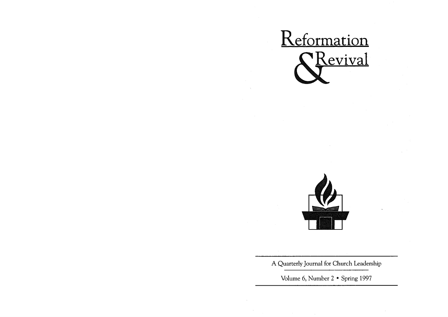



A Quarterly Journal for Church Leadership

Volume 6, Number 2 • Spring 1997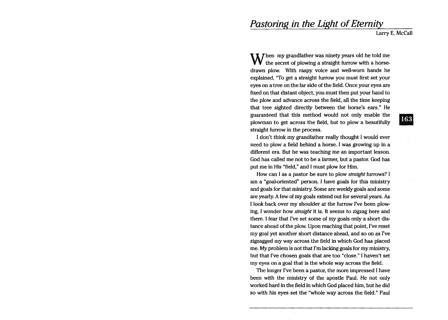# **Pastoring in the Light of Eternity**

Larry E. McCall

 $\bf M$  hen my grandfather was ninety years old he told me the secret of plowing a straight furrow with a horsedrawn plow. With raspy voice and well-worn hands he explained, "To get a straight furrow you must first set your eyes on a tree on the far side of the field. Once your eyes are fixed on that distant object, you must then put your hand to the plow and advance across the field, all the time keeping that tree sighted directly between the horse's ears." He guaranteed that this method would not only enable the plowman to get across the field, but to plow a beautifully straight furrow in the process.

I don't think my grandfather really thought I would ever need to plow a field behind a horse. I was growing up in a different era. But he was teaching me an important lesson. God has called me not to be a farmer, but a pastor. God has put me in His "field," and I must plow for Him.

How can I as a pastor be sure to plow *straight* furrows? I am a "goal-oriented" person. I have goals for this ministry and goals for that ministry. Some are weekly goals and some are yearly. A few of my goals extend out for several years. As I look back over my shoulder at the furrow I've been plowing, I wonder how *straight* it is. It seems to zigzag here and there. I fear that I've set some of my goals only a short distance ahead of the plow. Upon reaching that point, I've reset my goal yet another short distance ahead, and so on as I've zigzagged my way across the field in which God has placed me. My problem is not that I'm lacking goals for my ministry, but that I've chosen goals that are too "close." I haven't set my eyes on a goal that is the whole way across the field.

The longer I've been a pastor, the more impressed I have been with the ministry of the apostle Paul. He not only worked hard in the field in which God placed him, but he did so with his eyes set the "whole way across the field." Paul

163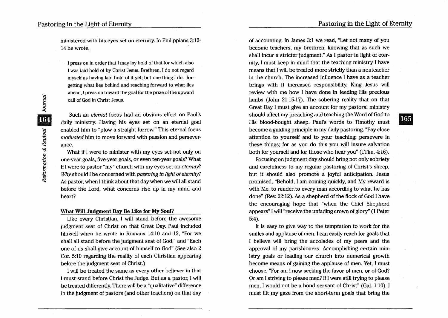ministered with his eyes set on eternity. In Philippians 3: 12- 14 he wrote,

I press on in order that I may lay hold of that for which also I was laid hold of by Christ Jesus. Brethren, I do not regard myself as having laid hold of it yet; but one thing I do: forgetting what lies behind and reaching forward to what lies ahead, I press on toward the goal for the prize of the upward call of God in Christ Jesus.

Such an *eternal* focus had an obvious effect on Paul's daily ministry. Having his eyes set on an eternal goal enabled him to "plow a straight furrow." This eternal focus *motivated* him to move forward with passion and perseverance.

What if I were to minister with my eyes set not only on one-year goals, five-year goals, or even ten-year goals? What if I were to pastor "my" church with my eyes set on *eternity? Why* should I be concerned with *pastoring in light of eternity?*  As pastor, when I think about that day when we will all stand before the Lord, what concerns rise up in my mind and heart?

### What Will Judgment Day Be Like for My Soul?

Like every Christian, I will stand before the awesome judgment seat of Christ on that Great Day. Paul included himself when he wrote in Romans 14:10 and 12, "For we shall all stand before the judgment seat of God," and "Each one of us shall give account of himself to God" (See also 2 Cor. 5: 10 regarding the reality of each Christian appearing before the judgment seat of Christ.)

I will be treated the same as every other believer in that I must stand before Christ the Judge. But as a pastor, I will be treated differently. There will be a "qualitative" difference in the judgment of pastors (and other teachers) on that day

of accounting. In James 3:1 we read, "Let not many of you become teachers, my brethren, knowing that as such we shall incur a stricter judgment." As I pastor in light of eternity, I must keep in mind that the teaching ministry I have means that I will be treated more strictly than a nonteacher in the church. The increased influence I have as a teacher brings with it increased responsibility. King Jesus will review with me how I have done in feeding His precious lambs (John 21:15-17). The sobering reality that on that Great Day I must give an account for my pastoral ministry should affect my preaching and teaching the Word of God to His blood-bought sheep. Paul's words to Timothy must become a guiding principle in my daily pastoring. "Pay close attention to yourself and to your teaching; persevere in these things; for as you do this you will insure salvation both for yourself and for those who hear you" (1Tim. 4:16).

Focusing on judgment day should bring not only sobriety and carefulness to my regular pastoring of Christ's sheep, but it should also promote a joyful anticipation. Jesus promised, "Behold, I am coming quickly, and My reward is with Me, to render to every man according to what he has done" (Rev. 22:12). As a shepherd of the flock of God I have the encouraging hope that "when the Chief Shepherd appears" I will "receive the unfading crown of glory" (1 Peter 5:4).

It is easy to give way to the temptation to work for the smiles and applause of men. I can easily reach for goals that I believe will bring the accolades of my peers and the approval of my parishioners. Accomplishing certain ministry goals or leading our church into numerical growth become means of gaining the applause of men. Yet, I must choose. "For am I now seeking the favor of men, or of God? Or am I striving to please men? If I were still trying to please men, I would not be a bond servant of Christ" (Gal. 1:10). I must lift my gaze from the short-term goals that bring the 165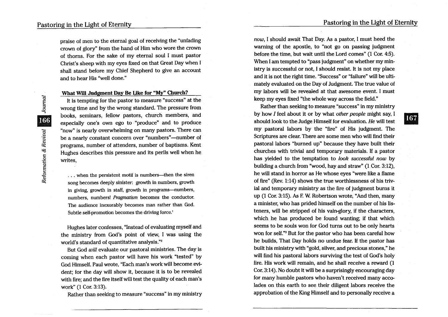**Journal** 

166

Reformation & Revival

praise of men to the eternal goal of receiving the "unfading crown of glory" from the hand of Him who wore the crown of thorns. For the sake of my eternal soul I must pastor Christ's sheep with my eyes fixed on that Great Day when I shall stand before my Chief Shepherd to give an account and to hear His "well done."

## What Will Judgment Day Be like for "My" Church?

It is tempting for the pastor to measure "success" at the wrong time and by the wrong standard. The pressure from books, seminars, fellow pastors, church members, and especially one's own ego to "produce" and to produce "now" is nearly overwhelming on many pastors. There can be a nearly constant concern over "numbers"—number of programs, number of attenders, number of baptisms. Kent Hughes describes this pressure and its perils well when he writes,

... when the persistent motif is numbers—then the siren song becomes deeply sinister: growth in numbers, growth in giving, growth in staff, growth in programs--numbers, numbers, numbers! *Pragmatism* becomes the conductor. The audience inexorably becomes man rather than God. Subtle self-promotion becomes the driving force.'

Hughes later confesses, "Instead of evaluating myself and the ministry from God's point of view, I was using the world's standard of quantitative analysis."2

But God will evaluate our pastoral ministries. The day is coming when each pastor will have his work "tested" by God Himself. Paul wrote, "Each man's work will become evident; for the day will show it, because it is to be revealed with fire; and the fire itself will test the quality of each man's work" (1 Cor. 3:13).

Rather than seeking to measure "success" in my ministry

now, I should await That Day. As a pastor, I must heed the warning of the apostle, to "not go on passing judgment before the time, but wait until the Lord comes" (1 Cor. 4:5). When I am tempted to "pass judgment" on whether my ministry is successful or not, I should resist. It is not my place and it is not the right time. "Success" or "failure" will be ultimately evaluated on the Day of Judgment. The true value of my labors will be revealed at that awesome event. I must keep my eyes fixed "the whole way across the field."

Rather than seeking to measure "success" in my ministry by how I feel about it or by what other people might say, I should look to the Judge Himself for evaluation. He will test my pastoral labors by the "fire" of His judgment. The Scriptures are clear. There are some men who will find their pastoral labors "burned up" because they have built their churches with trivial and temporary materials. If a pastor has yielded to the temptation to look successful now by building a church from "wood, hay and straw" (1.Cor. 3:12), he will stand in horror as He whose eyes "were like a flame of fire" (Rev. 1:14) shows the true worthlessness of his trivial and temporary ministry as the fire of judgment burns it up (1 Cor. 3: 15). As F. W. Robertson wrote, "And then, many a minister, who has prided himself on the number of his listeners, will be stripped of his vain-glory, if the characters, which he has produced be found wanting; if that which seems to be souls won for God turns out to be only hearts won for self."<sup>3</sup> But for the pastor who has been careful how he builds, That Day holds no undue fear. If the pastor has built his ministry with "gold, silver, and precious stones," he will find his pastoral labors surviving the test of God's holy fire. His work will remain, and he shall receive a reward (1 Cor. 3:14). No doubt it will be a surprisingly encouraging day for many humble pastors who haven't received many accolades on this earth to see their diligent labors receive the approbation of the King Himself and to personally receive a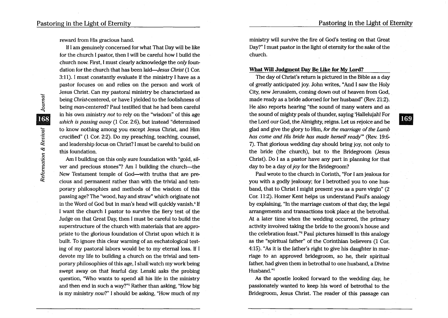**169** 

reward from His gracious hand.

It I am genuinely concerned for what That Day will be like for the church I pastor, then I will be careful how I build the church now. First, I must clearly acknowledge the *only* foundation for the church that has been *laid-Jesus Christ* (1 Cor. 3: 11). I must constantly evaluate if the ministry I have as a pastor focuses on and relies on the person and work of Jesus Christ. Can my pastoral ministry be characterized as being Christ-centered, or have I yielded to the foolishness of being man-centered? Paul testified that he had been careful in his own ministry *not* to rely on the "wisdom" of this age *which is passing away* (1 Cor. 2:6), but instead "determined to know nothing among you except Jesus Christ, and Him crucified" (1 Cor. 2:2). Do my preaching, teaching, counsel, and leadership focus on Christ? I must be careful to build on this foundation.

Am I building on this only sure foundation with "gold, silver and precious stones"? Am I building the church-the New Testament temple of God-with truths that are precious and permanent rather than with the trivial and temporary philosophies and methods of the wisdom of this passing age? The "wood, hay and straw" which originate not in the Word of God but in man's head will quickly vanish.<sup>4</sup> If I want the church I pastor to survive the fiery test of the Judge on that Great Day, then I must be careful to build the superstructure of the church with materials that are appropriate to the glorious foundation of Christ upon which it is built. To ignore this clear warning of an eschatological testing of my pastoral labors would be to my eternal loss. If I devote my life to building a church on the trivial and temporary philosophies of this age, I shall watch my work being swept away on that fearful day. Lenski asks the probing question, "Who wants to spend all his life in the ministry and then end in such a way?"5 Rather than asking, "How big is my ministry *now?"* I should be asking, "How much of my

ministry will survive the fire of God's testing on that Great Day?" I must pastor in the light of eternity for the sake of the church.

#### What Will Judgment Day Be Like for My Lord?

The day of Christ's return is pictured in the Bible as a day of greatly anticipated joy. John writes, "And I saw the Holy City, new Jerusalem, coming down out of heaven from God, made ready as a bride adorned for her husband" (Rev. 21:2). He also reports hearing "the sound of many waters and as the sound of mighty peals of thunder, saying 'Hallelujah! For the Lord our God, the Almighty, reigns. Let us rejoice and be glad and give the glory to Him, *for the marriage of the Lamb has come and His bride has made herself ready'"* (Rev. 19:6- 7). That glorious wedding day should bring joy, not only to the bride (the church), but to the Bridegroom (Jesus Christ). Do I as a pastor have any part in planning for that day to be a day of *joy* for the Bridegroom?

Paul wrote to the church in Corinth, "For I am jealous for you with a godly jealousy; for I betrothed you to one husband, that to Christ I might present you as a pure virgin" (2 Cor. 11:2). Homer Kent helps us understand Paul's analogy by explaining, "In the marriage custom of that day, the legal arrangements and transactions took place at the betrothal. At a later time when the wedding occurred, the primary activity involved taking the bride to the groom's house and the celebration feast."6 Paul pictures himself in this analogy as the "spiritual father" of the Corinthian believers (1 Cor. 4:15). "As it is the father's right to give his daughter in marriage to an approved bridegroom, so he, their spiritual father, had given them in betrothal to one husband, a Divine Husband."7

As the apostle looked forward to the wedding day, he passionately wanted to keep his word of betrothal to the Bridegroom, Jesus Christ. The reader of this passage can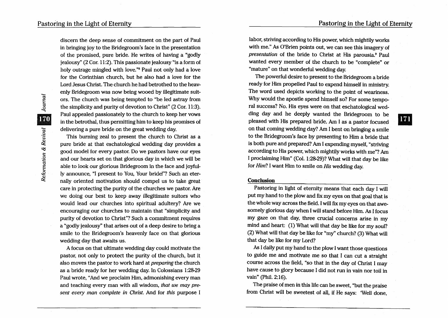171

discern the deep sense of commitment on the part of Paul in bringing joy to the Bridegroom's face in the presentation of the promised, pure bride. He writes of having a "godly jealousy" (2 Cor. 11:2). This passionate jealousy "is a form of holy outrage mingled with love."<sup>8</sup> Paul not only had a love for the Corinthian church, but he also had a love for the Lord Jesus Christ. The church he had betrothed to the heavenly Bridegroom was now being wooed by illegitimate suitors. The church was being tempted to "be led astray from the simplicity and purity of devotion to Christ" (2 Cor. 11:3). Paul appealed passionately to the church to keep her vows in the betrothal, thus permitting him to keep his promises of delivering a pure bride on the great wedding day.

This burning zeal to present the church to Christ as a pure bride at that eschatological wedding day provides a good model for every pastor. Do we pastors have our eyes and our hearts set on that glorious day in which we will be able to look our glorious Bridegroom in the face and joyfully announce, "I present to You, Your bride!"? Such an eternally oriented motivation should compel us to take great care in protecting the purity of the churches we pastor. Are we doing our best to keep away illegitimate suitors who would lead our churches into spiritual adultery? Are we encouraging our churches to maintain that "simplicity and purity of devotion to Christ"? Such a commitment requires a "godly jealousy" that arises out of a deep desire to bring a smile to the Bridegroom's heavenly face on that glorious wedding day that awaits us.

A focus on that ultimate wedding day could motivate the pastor, not only to protect the purity of the church, but it also moves the pastor to work hard at *prepanng* the church as a bride ready for her wedding day. In Colossians 1:28-29 Paul wrote, "And we proclaim Him, admonishing every man and teaching every man with all wisdom, *that we may present every man complete in Christ.* And for *this* purpose I

labor, striving according to His power, which mightily works with me." As O'Brien points out, we can see this imagery of *presentation* of the bride to Christ at His parousia.9 Paul wanted every member of the church to be "complete" or "mature" on that wonderful wedding day.

The powerful desire to present to the Bridegroom a bride ready for Him propelled Paul to expend himself in ministry. The word used depicts working to the point of weariness. Why would the apostle spend himself so? For some temporal success? No. His eyes were on that eschatological wedding day and he deeply wanted the Bridegroom to be pleased with His prepared bride. Am I as a pastor focused on that coming wedding day? Am I bent on bringing a smile to the Bridegroom's face by presenting to Him a bride that is both pure and prepared? Am I expending myself, "striving according to His power, which mightily works with me"? Am I proclaiming Him" (Col. 1:28-29)? What will that day be like for *Him?* I want Him to smile on *His* wedding day.

#### **Conclusion**

Pastoring in light of eternity means that each day I will put my hand to the plow and fix my eyes on that goal that is the whole way across the field. I will fix my eyes on that awesomely glorious day when I will stand before Him. As I focus my gaze on that day, three crucial concerns arise in my mind and heart: (1) What will that day be like for my soul? (2) What will that day be like for "my" church? (3) What will that day be like for my Lord?

As I daily put my hand to the plow I want those questions to guide me and motivate me so that I can cut a straight course across the field, "so that in the day of Christ I may have cause to glory because I did not run in vain nor toil in vain" (Phil. 2:16).

The praise of men in this life can be sweet, "but the praise from Christ will be sweetest of all, if He says: 'Well done,